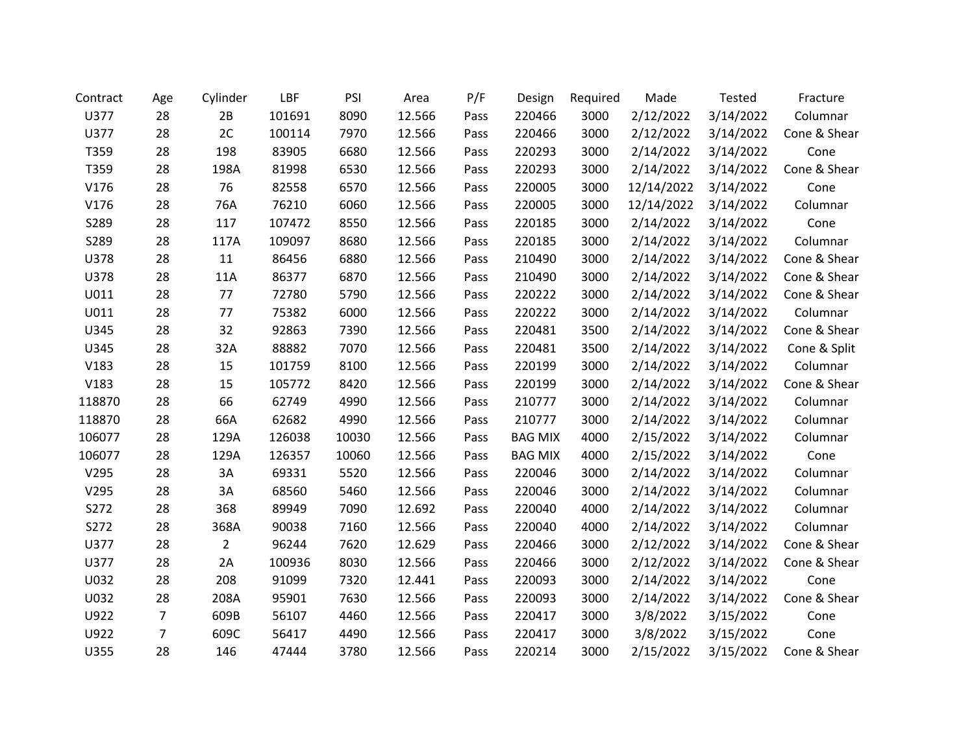| Contract | Age | Cylinder       | LBF    | PSI   | Area   | P/F  | Design         | Required | Made       | Tested    | Fracture     |
|----------|-----|----------------|--------|-------|--------|------|----------------|----------|------------|-----------|--------------|
| U377     | 28  | 2B             | 101691 | 8090  | 12.566 | Pass | 220466         | 3000     | 2/12/2022  | 3/14/2022 | Columnar     |
| U377     | 28  | 2C             | 100114 | 7970  | 12.566 | Pass | 220466         | 3000     | 2/12/2022  | 3/14/2022 | Cone & Shear |
| T359     | 28  | 198            | 83905  | 6680  | 12.566 | Pass | 220293         | 3000     | 2/14/2022  | 3/14/2022 | Cone         |
| T359     | 28  | 198A           | 81998  | 6530  | 12.566 | Pass | 220293         | 3000     | 2/14/2022  | 3/14/2022 | Cone & Shear |
| V176     | 28  | 76             | 82558  | 6570  | 12.566 | Pass | 220005         | 3000     | 12/14/2022 | 3/14/2022 | Cone         |
| V176     | 28  | 76A            | 76210  | 6060  | 12.566 | Pass | 220005         | 3000     | 12/14/2022 | 3/14/2022 | Columnar     |
| S289     | 28  | 117            | 107472 | 8550  | 12.566 | Pass | 220185         | 3000     | 2/14/2022  | 3/14/2022 | Cone         |
| S289     | 28  | 117A           | 109097 | 8680  | 12.566 | Pass | 220185         | 3000     | 2/14/2022  | 3/14/2022 | Columnar     |
| U378     | 28  | 11             | 86456  | 6880  | 12.566 | Pass | 210490         | 3000     | 2/14/2022  | 3/14/2022 | Cone & Shear |
| U378     | 28  | 11A            | 86377  | 6870  | 12.566 | Pass | 210490         | 3000     | 2/14/2022  | 3/14/2022 | Cone & Shear |
| U011     | 28  | 77             | 72780  | 5790  | 12.566 | Pass | 220222         | 3000     | 2/14/2022  | 3/14/2022 | Cone & Shear |
| U011     | 28  | 77             | 75382  | 6000  | 12.566 | Pass | 220222         | 3000     | 2/14/2022  | 3/14/2022 | Columnar     |
| U345     | 28  | 32             | 92863  | 7390  | 12.566 | Pass | 220481         | 3500     | 2/14/2022  | 3/14/2022 | Cone & Shear |
| U345     | 28  | 32A            | 88882  | 7070  | 12.566 | Pass | 220481         | 3500     | 2/14/2022  | 3/14/2022 | Cone & Split |
| V183     | 28  | 15             | 101759 | 8100  | 12.566 | Pass | 220199         | 3000     | 2/14/2022  | 3/14/2022 | Columnar     |
| V183     | 28  | 15             | 105772 | 8420  | 12.566 | Pass | 220199         | 3000     | 2/14/2022  | 3/14/2022 | Cone & Shear |
| 118870   | 28  | 66             | 62749  | 4990  | 12.566 | Pass | 210777         | 3000     | 2/14/2022  | 3/14/2022 | Columnar     |
| 118870   | 28  | 66A            | 62682  | 4990  | 12.566 | Pass | 210777         | 3000     | 2/14/2022  | 3/14/2022 | Columnar     |
| 106077   | 28  | 129A           | 126038 | 10030 | 12.566 | Pass | <b>BAG MIX</b> | 4000     | 2/15/2022  | 3/14/2022 | Columnar     |
| 106077   | 28  | 129A           | 126357 | 10060 | 12.566 | Pass | <b>BAG MIX</b> | 4000     | 2/15/2022  | 3/14/2022 | Cone         |
| V295     | 28  | 3A             | 69331  | 5520  | 12.566 | Pass | 220046         | 3000     | 2/14/2022  | 3/14/2022 | Columnar     |
| V295     | 28  | 3A             | 68560  | 5460  | 12.566 | Pass | 220046         | 3000     | 2/14/2022  | 3/14/2022 | Columnar     |
| S272     | 28  | 368            | 89949  | 7090  | 12.692 | Pass | 220040         | 4000     | 2/14/2022  | 3/14/2022 | Columnar     |
| S272     | 28  | 368A           | 90038  | 7160  | 12.566 | Pass | 220040         | 4000     | 2/14/2022  | 3/14/2022 | Columnar     |
| U377     | 28  | $\overline{2}$ | 96244  | 7620  | 12.629 | Pass | 220466         | 3000     | 2/12/2022  | 3/14/2022 | Cone & Shear |
| U377     | 28  | 2A             | 100936 | 8030  | 12.566 | Pass | 220466         | 3000     | 2/12/2022  | 3/14/2022 | Cone & Shear |
| U032     | 28  | 208            | 91099  | 7320  | 12.441 | Pass | 220093         | 3000     | 2/14/2022  | 3/14/2022 | Cone         |
| U032     | 28  | 208A           | 95901  | 7630  | 12.566 | Pass | 220093         | 3000     | 2/14/2022  | 3/14/2022 | Cone & Shear |
| U922     | 7   | 609B           | 56107  | 4460  | 12.566 | Pass | 220417         | 3000     | 3/8/2022   | 3/15/2022 | Cone         |
| U922     | 7   | 609C           | 56417  | 4490  | 12.566 | Pass | 220417         | 3000     | 3/8/2022   | 3/15/2022 | Cone         |
| U355     | 28  | 146            | 47444  | 3780  | 12.566 | Pass | 220214         | 3000     | 2/15/2022  | 3/15/2022 | Cone & Shear |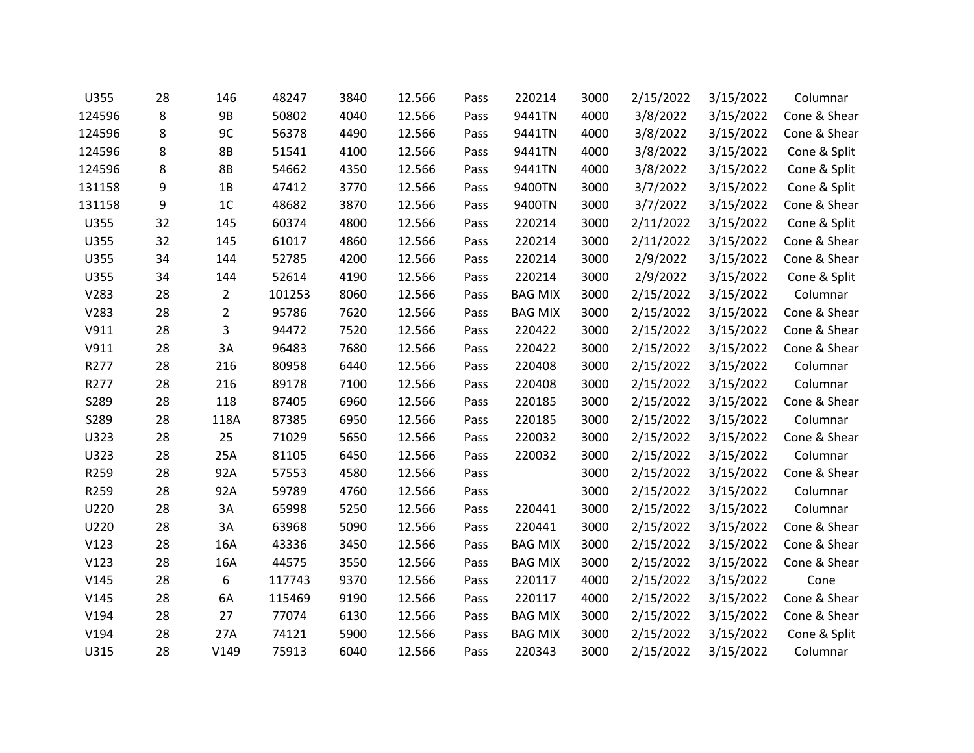| U355   | 28 | 146            | 48247  | 3840 | 12.566 | Pass | 220214         | 3000 | 2/15/2022 | 3/15/2022 | Columnar     |
|--------|----|----------------|--------|------|--------|------|----------------|------|-----------|-----------|--------------|
| 124596 | 8  | <b>9B</b>      | 50802  | 4040 | 12.566 | Pass | 9441TN         | 4000 | 3/8/2022  | 3/15/2022 | Cone & Shear |
| 124596 | 8  | 9C             | 56378  | 4490 | 12.566 | Pass | 9441TN         | 4000 | 3/8/2022  | 3/15/2022 | Cone & Shear |
| 124596 | 8  | 8B             | 51541  | 4100 | 12.566 | Pass | 9441TN         | 4000 | 3/8/2022  | 3/15/2022 | Cone & Split |
| 124596 | 8  | 8B             | 54662  | 4350 | 12.566 | Pass | 9441TN         | 4000 | 3/8/2022  | 3/15/2022 | Cone & Split |
| 131158 | 9  | 1B             | 47412  | 3770 | 12.566 | Pass | 9400TN         | 3000 | 3/7/2022  | 3/15/2022 | Cone & Split |
| 131158 | 9  | 1C             | 48682  | 3870 | 12.566 | Pass | 9400TN         | 3000 | 3/7/2022  | 3/15/2022 | Cone & Shear |
| U355   | 32 | 145            | 60374  | 4800 | 12.566 | Pass | 220214         | 3000 | 2/11/2022 | 3/15/2022 | Cone & Split |
| U355   | 32 | 145            | 61017  | 4860 | 12.566 | Pass | 220214         | 3000 | 2/11/2022 | 3/15/2022 | Cone & Shear |
| U355   | 34 | 144            | 52785  | 4200 | 12.566 | Pass | 220214         | 3000 | 2/9/2022  | 3/15/2022 | Cone & Shear |
| U355   | 34 | 144            | 52614  | 4190 | 12.566 | Pass | 220214         | 3000 | 2/9/2022  | 3/15/2022 | Cone & Split |
| V283   | 28 | $\overline{2}$ | 101253 | 8060 | 12.566 | Pass | <b>BAG MIX</b> | 3000 | 2/15/2022 | 3/15/2022 | Columnar     |
| V283   | 28 | $\overline{2}$ | 95786  | 7620 | 12.566 | Pass | <b>BAG MIX</b> | 3000 | 2/15/2022 | 3/15/2022 | Cone & Shear |
| V911   | 28 | 3              | 94472  | 7520 | 12.566 | Pass | 220422         | 3000 | 2/15/2022 | 3/15/2022 | Cone & Shear |
| V911   | 28 | 3A             | 96483  | 7680 | 12.566 | Pass | 220422         | 3000 | 2/15/2022 | 3/15/2022 | Cone & Shear |
| R277   | 28 | 216            | 80958  | 6440 | 12.566 | Pass | 220408         | 3000 | 2/15/2022 | 3/15/2022 | Columnar     |
| R277   | 28 | 216            | 89178  | 7100 | 12.566 | Pass | 220408         | 3000 | 2/15/2022 | 3/15/2022 | Columnar     |
| S289   | 28 | 118            | 87405  | 6960 | 12.566 | Pass | 220185         | 3000 | 2/15/2022 | 3/15/2022 | Cone & Shear |
| S289   | 28 | 118A           | 87385  | 6950 | 12.566 | Pass | 220185         | 3000 | 2/15/2022 | 3/15/2022 | Columnar     |
| U323   | 28 | 25             | 71029  | 5650 | 12.566 | Pass | 220032         | 3000 | 2/15/2022 | 3/15/2022 | Cone & Shear |
| U323   | 28 | 25A            | 81105  | 6450 | 12.566 | Pass | 220032         | 3000 | 2/15/2022 | 3/15/2022 | Columnar     |
| R259   | 28 | 92A            | 57553  | 4580 | 12.566 | Pass |                | 3000 | 2/15/2022 | 3/15/2022 | Cone & Shear |
| R259   | 28 | 92A            | 59789  | 4760 | 12.566 | Pass |                | 3000 | 2/15/2022 | 3/15/2022 | Columnar     |
| U220   | 28 | 3A             | 65998  | 5250 | 12.566 | Pass | 220441         | 3000 | 2/15/2022 | 3/15/2022 | Columnar     |
| U220   | 28 | 3A             | 63968  | 5090 | 12.566 | Pass | 220441         | 3000 | 2/15/2022 | 3/15/2022 | Cone & Shear |
| V123   | 28 | 16A            | 43336  | 3450 | 12.566 | Pass | <b>BAG MIX</b> | 3000 | 2/15/2022 | 3/15/2022 | Cone & Shear |
| V123   | 28 | 16A            | 44575  | 3550 | 12.566 | Pass | <b>BAG MIX</b> | 3000 | 2/15/2022 | 3/15/2022 | Cone & Shear |
| V145   | 28 | 6              | 117743 | 9370 | 12.566 | Pass | 220117         | 4000 | 2/15/2022 | 3/15/2022 | Cone         |
| V145   | 28 | 6A             | 115469 | 9190 | 12.566 | Pass | 220117         | 4000 | 2/15/2022 | 3/15/2022 | Cone & Shear |
| V194   | 28 | 27             | 77074  | 6130 | 12.566 | Pass | <b>BAG MIX</b> | 3000 | 2/15/2022 | 3/15/2022 | Cone & Shear |
| V194   | 28 | 27A            | 74121  | 5900 | 12.566 | Pass | <b>BAG MIX</b> | 3000 | 2/15/2022 | 3/15/2022 | Cone & Split |
| U315   | 28 | V149           | 75913  | 6040 | 12.566 | Pass | 220343         | 3000 | 2/15/2022 | 3/15/2022 | Columnar     |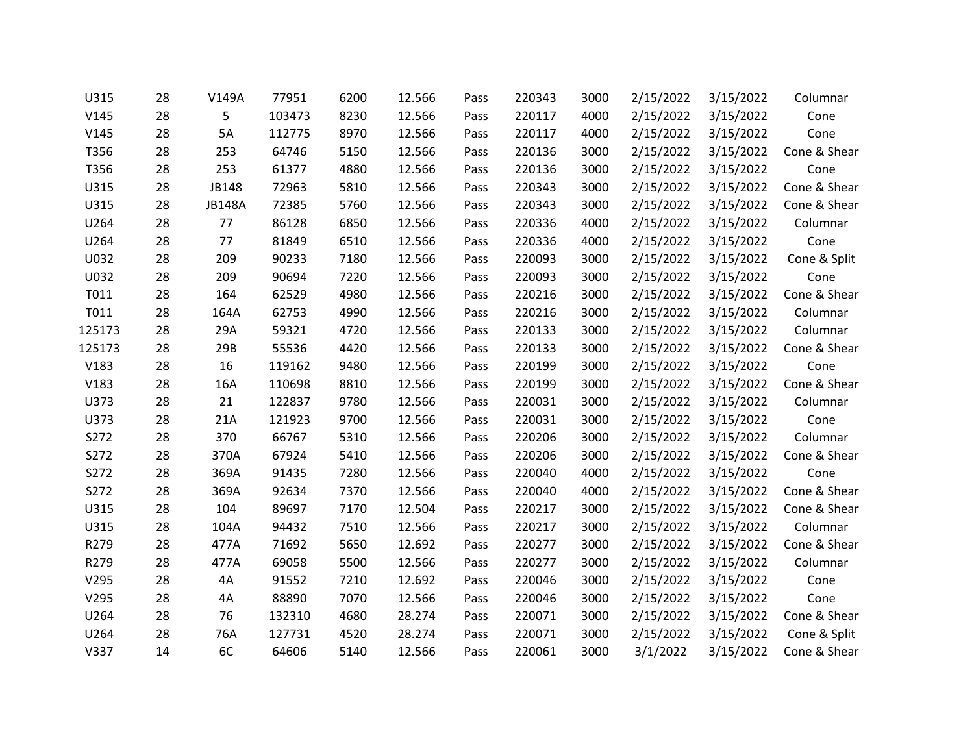| U315   | 28 | V149A         | 77951  | 6200 | 12.566 | Pass | 220343 | 3000 | 2/15/2022 | 3/15/2022 | Columnar     |
|--------|----|---------------|--------|------|--------|------|--------|------|-----------|-----------|--------------|
| V145   | 28 | 5             | 103473 | 8230 | 12.566 | Pass | 220117 | 4000 | 2/15/2022 | 3/15/2022 | Cone         |
| V145   | 28 | 5A            | 112775 | 8970 | 12.566 | Pass | 220117 | 4000 | 2/15/2022 | 3/15/2022 | Cone         |
| T356   | 28 | 253           | 64746  | 5150 | 12.566 | Pass | 220136 | 3000 | 2/15/2022 | 3/15/2022 | Cone & Shear |
| T356   | 28 | 253           | 61377  | 4880 | 12.566 | Pass | 220136 | 3000 | 2/15/2022 | 3/15/2022 | Cone         |
| U315   | 28 | JB148         | 72963  | 5810 | 12.566 | Pass | 220343 | 3000 | 2/15/2022 | 3/15/2022 | Cone & Shear |
| U315   | 28 | <b>JB148A</b> | 72385  | 5760 | 12.566 | Pass | 220343 | 3000 | 2/15/2022 | 3/15/2022 | Cone & Shear |
| U264   | 28 | 77            | 86128  | 6850 | 12.566 | Pass | 220336 | 4000 | 2/15/2022 | 3/15/2022 | Columnar     |
| U264   | 28 | 77            | 81849  | 6510 | 12.566 | Pass | 220336 | 4000 | 2/15/2022 | 3/15/2022 | Cone         |
| U032   | 28 | 209           | 90233  | 7180 | 12.566 | Pass | 220093 | 3000 | 2/15/2022 | 3/15/2022 | Cone & Split |
| U032   | 28 | 209           | 90694  | 7220 | 12.566 | Pass | 220093 | 3000 | 2/15/2022 | 3/15/2022 | Cone         |
| T011   | 28 | 164           | 62529  | 4980 | 12.566 | Pass | 220216 | 3000 | 2/15/2022 | 3/15/2022 | Cone & Shear |
| T011   | 28 | 164A          | 62753  | 4990 | 12.566 | Pass | 220216 | 3000 | 2/15/2022 | 3/15/2022 | Columnar     |
| 125173 | 28 | 29A           | 59321  | 4720 | 12.566 | Pass | 220133 | 3000 | 2/15/2022 | 3/15/2022 | Columnar     |
| 125173 | 28 | 29B           | 55536  | 4420 | 12.566 | Pass | 220133 | 3000 | 2/15/2022 | 3/15/2022 | Cone & Shear |
| V183   | 28 | 16            | 119162 | 9480 | 12.566 | Pass | 220199 | 3000 | 2/15/2022 | 3/15/2022 | Cone         |
| V183   | 28 | 16A           | 110698 | 8810 | 12.566 | Pass | 220199 | 3000 | 2/15/2022 | 3/15/2022 | Cone & Shear |
| U373   | 28 | 21            | 122837 | 9780 | 12.566 | Pass | 220031 | 3000 | 2/15/2022 | 3/15/2022 | Columnar     |
| U373   | 28 | 21A           | 121923 | 9700 | 12.566 | Pass | 220031 | 3000 | 2/15/2022 | 3/15/2022 | Cone         |
| S272   | 28 | 370           | 66767  | 5310 | 12.566 | Pass | 220206 | 3000 | 2/15/2022 | 3/15/2022 | Columnar     |
| S272   | 28 | 370A          | 67924  | 5410 | 12.566 | Pass | 220206 | 3000 | 2/15/2022 | 3/15/2022 | Cone & Shear |
| S272   | 28 | 369A          | 91435  | 7280 | 12.566 | Pass | 220040 | 4000 | 2/15/2022 | 3/15/2022 | Cone         |
| S272   | 28 | 369A          | 92634  | 7370 | 12.566 | Pass | 220040 | 4000 | 2/15/2022 | 3/15/2022 | Cone & Shear |
| U315   | 28 | 104           | 89697  | 7170 | 12.504 | Pass | 220217 | 3000 | 2/15/2022 | 3/15/2022 | Cone & Shear |
| U315   | 28 | 104A          | 94432  | 7510 | 12.566 | Pass | 220217 | 3000 | 2/15/2022 | 3/15/2022 | Columnar     |
| R279   | 28 | 477A          | 71692  | 5650 | 12.692 | Pass | 220277 | 3000 | 2/15/2022 | 3/15/2022 | Cone & Shear |
| R279   | 28 | 477A          | 69058  | 5500 | 12.566 | Pass | 220277 | 3000 | 2/15/2022 | 3/15/2022 | Columnar     |
| V295   | 28 | 4A            | 91552  | 7210 | 12.692 | Pass | 220046 | 3000 | 2/15/2022 | 3/15/2022 | Cone         |
| V295   | 28 | 4A            | 88890  | 7070 | 12.566 | Pass | 220046 | 3000 | 2/15/2022 | 3/15/2022 | Cone         |
| U264   | 28 | 76            | 132310 | 4680 | 28.274 | Pass | 220071 | 3000 | 2/15/2022 | 3/15/2022 | Cone & Shear |
| U264   | 28 | 76A           | 127731 | 4520 | 28.274 | Pass | 220071 | 3000 | 2/15/2022 | 3/15/2022 | Cone & Split |
| V337   | 14 | 6C            | 64606  | 5140 | 12.566 | Pass | 220061 | 3000 | 3/1/2022  | 3/15/2022 | Cone & Shear |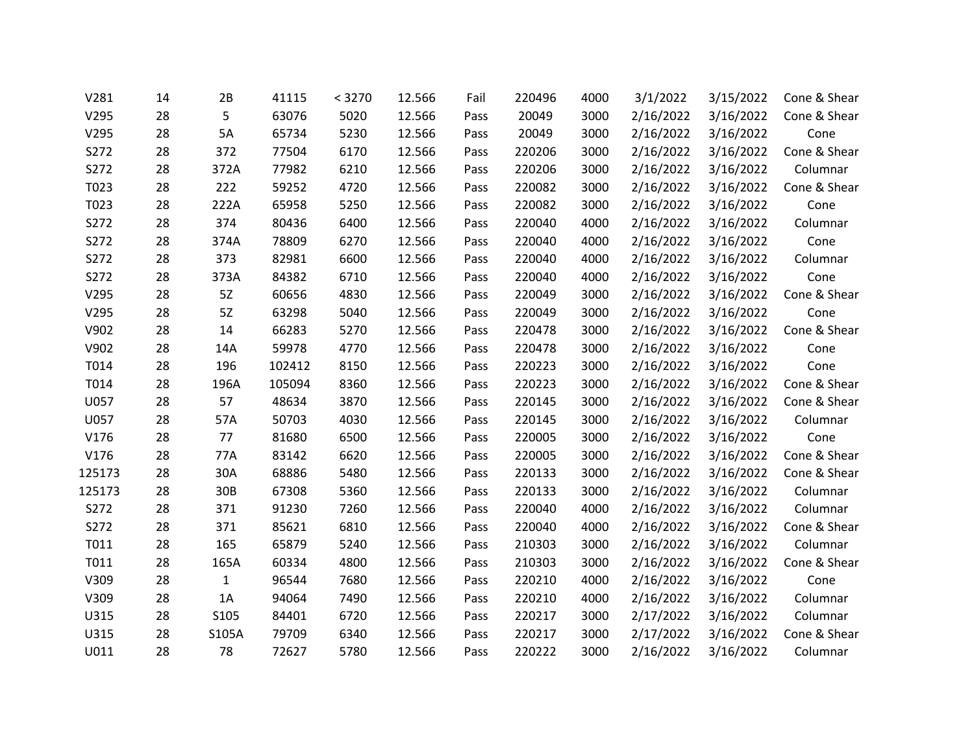| V281   | 14 | 2B           | 41115  | < 3270 | 12.566 | Fail | 220496 | 4000 | 3/1/2022  | 3/15/2022 | Cone & Shear |
|--------|----|--------------|--------|--------|--------|------|--------|------|-----------|-----------|--------------|
| V295   | 28 | 5            | 63076  | 5020   | 12.566 | Pass | 20049  | 3000 | 2/16/2022 | 3/16/2022 | Cone & Shear |
| V295   | 28 | 5A           | 65734  | 5230   | 12.566 | Pass | 20049  | 3000 | 2/16/2022 | 3/16/2022 | Cone         |
| S272   | 28 | 372          | 77504  | 6170   | 12.566 | Pass | 220206 | 3000 | 2/16/2022 | 3/16/2022 | Cone & Shear |
| S272   | 28 | 372A         | 77982  | 6210   | 12.566 | Pass | 220206 | 3000 | 2/16/2022 | 3/16/2022 | Columnar     |
| T023   | 28 | 222          | 59252  | 4720   | 12.566 | Pass | 220082 | 3000 | 2/16/2022 | 3/16/2022 | Cone & Shear |
| T023   | 28 | 222A         | 65958  | 5250   | 12.566 | Pass | 220082 | 3000 | 2/16/2022 | 3/16/2022 | Cone         |
| S272   | 28 | 374          | 80436  | 6400   | 12.566 | Pass | 220040 | 4000 | 2/16/2022 | 3/16/2022 | Columnar     |
| S272   | 28 | 374A         | 78809  | 6270   | 12.566 | Pass | 220040 | 4000 | 2/16/2022 | 3/16/2022 | Cone         |
| S272   | 28 | 373          | 82981  | 6600   | 12.566 | Pass | 220040 | 4000 | 2/16/2022 | 3/16/2022 | Columnar     |
| S272   | 28 | 373A         | 84382  | 6710   | 12.566 | Pass | 220040 | 4000 | 2/16/2022 | 3/16/2022 | Cone         |
| V295   | 28 | 5Z           | 60656  | 4830   | 12.566 | Pass | 220049 | 3000 | 2/16/2022 | 3/16/2022 | Cone & Shear |
| V295   | 28 | 5Z           | 63298  | 5040   | 12.566 | Pass | 220049 | 3000 | 2/16/2022 | 3/16/2022 | Cone         |
| V902   | 28 | 14           | 66283  | 5270   | 12.566 | Pass | 220478 | 3000 | 2/16/2022 | 3/16/2022 | Cone & Shear |
| V902   | 28 | 14A          | 59978  | 4770   | 12.566 | Pass | 220478 | 3000 | 2/16/2022 | 3/16/2022 | Cone         |
| T014   | 28 | 196          | 102412 | 8150   | 12.566 | Pass | 220223 | 3000 | 2/16/2022 | 3/16/2022 | Cone         |
| T014   | 28 | 196A         | 105094 | 8360   | 12.566 | Pass | 220223 | 3000 | 2/16/2022 | 3/16/2022 | Cone & Shear |
| U057   | 28 | 57           | 48634  | 3870   | 12.566 | Pass | 220145 | 3000 | 2/16/2022 | 3/16/2022 | Cone & Shear |
| U057   | 28 | 57A          | 50703  | 4030   | 12.566 | Pass | 220145 | 3000 | 2/16/2022 | 3/16/2022 | Columnar     |
| V176   | 28 | 77           | 81680  | 6500   | 12.566 | Pass | 220005 | 3000 | 2/16/2022 | 3/16/2022 | Cone         |
| V176   | 28 | 77A          | 83142  | 6620   | 12.566 | Pass | 220005 | 3000 | 2/16/2022 | 3/16/2022 | Cone & Shear |
| 125173 | 28 | 30A          | 68886  | 5480   | 12.566 | Pass | 220133 | 3000 | 2/16/2022 | 3/16/2022 | Cone & Shear |
| 125173 | 28 | 30B          | 67308  | 5360   | 12.566 | Pass | 220133 | 3000 | 2/16/2022 | 3/16/2022 | Columnar     |
| S272   | 28 | 371          | 91230  | 7260   | 12.566 | Pass | 220040 | 4000 | 2/16/2022 | 3/16/2022 | Columnar     |
| S272   | 28 | 371          | 85621  | 6810   | 12.566 | Pass | 220040 | 4000 | 2/16/2022 | 3/16/2022 | Cone & Shear |
| T011   | 28 | 165          | 65879  | 5240   | 12.566 | Pass | 210303 | 3000 | 2/16/2022 | 3/16/2022 | Columnar     |
| T011   | 28 | 165A         | 60334  | 4800   | 12.566 | Pass | 210303 | 3000 | 2/16/2022 | 3/16/2022 | Cone & Shear |
| V309   | 28 | $\mathbf{1}$ | 96544  | 7680   | 12.566 | Pass | 220210 | 4000 | 2/16/2022 | 3/16/2022 | Cone         |
| V309   | 28 | $1A$         | 94064  | 7490   | 12.566 | Pass | 220210 | 4000 | 2/16/2022 | 3/16/2022 | Columnar     |
| U315   | 28 | S105         | 84401  | 6720   | 12.566 | Pass | 220217 | 3000 | 2/17/2022 | 3/16/2022 | Columnar     |
| U315   | 28 | S105A        | 79709  | 6340   | 12.566 | Pass | 220217 | 3000 | 2/17/2022 | 3/16/2022 | Cone & Shear |
| U011   | 28 | 78           | 72627  | 5780   | 12.566 | Pass | 220222 | 3000 | 2/16/2022 | 3/16/2022 | Columnar     |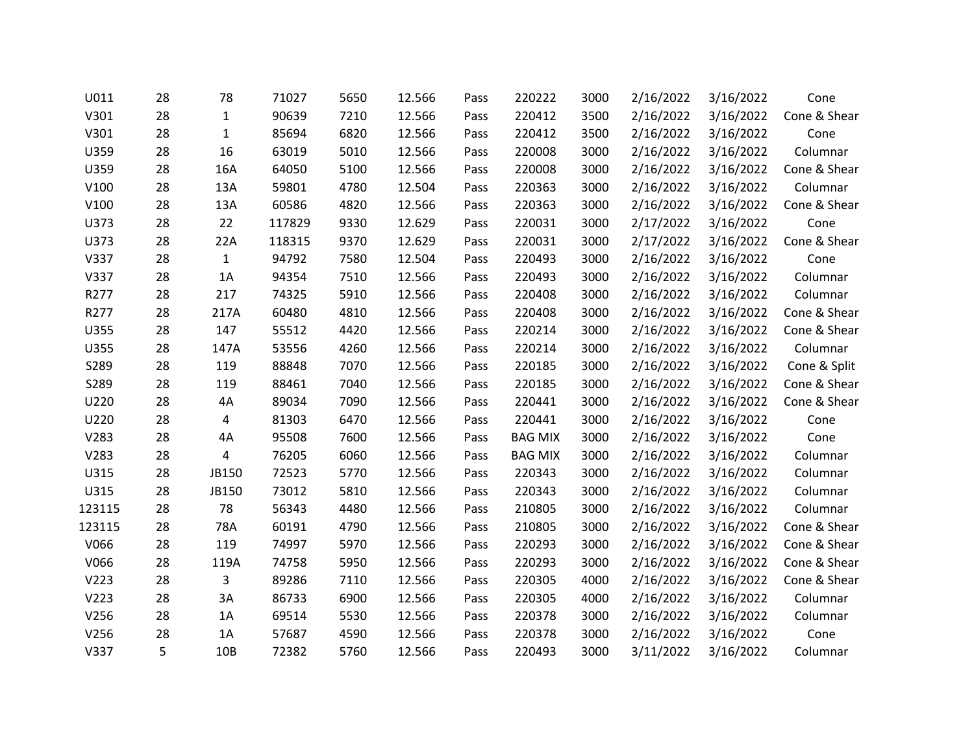| U011   | 28 | 78           | 71027  | 5650 | 12.566 | Pass | 220222         | 3000 | 2/16/2022 | 3/16/2022 | Cone         |
|--------|----|--------------|--------|------|--------|------|----------------|------|-----------|-----------|--------------|
| V301   | 28 | $\mathbf{1}$ | 90639  | 7210 | 12.566 | Pass | 220412         | 3500 | 2/16/2022 | 3/16/2022 | Cone & Shear |
| V301   | 28 | $\mathbf 1$  | 85694  | 6820 | 12.566 | Pass | 220412         | 3500 | 2/16/2022 | 3/16/2022 | Cone         |
| U359   | 28 | 16           | 63019  | 5010 | 12.566 | Pass | 220008         | 3000 | 2/16/2022 | 3/16/2022 | Columnar     |
| U359   | 28 | 16A          | 64050  | 5100 | 12.566 | Pass | 220008         | 3000 | 2/16/2022 | 3/16/2022 | Cone & Shear |
| V100   | 28 | 13A          | 59801  | 4780 | 12.504 | Pass | 220363         | 3000 | 2/16/2022 | 3/16/2022 | Columnar     |
| V100   | 28 | 13A          | 60586  | 4820 | 12.566 | Pass | 220363         | 3000 | 2/16/2022 | 3/16/2022 | Cone & Shear |
| U373   | 28 | 22           | 117829 | 9330 | 12.629 | Pass | 220031         | 3000 | 2/17/2022 | 3/16/2022 | Cone         |
| U373   | 28 | 22A          | 118315 | 9370 | 12.629 | Pass | 220031         | 3000 | 2/17/2022 | 3/16/2022 | Cone & Shear |
| V337   | 28 | $\mathbf{1}$ | 94792  | 7580 | 12.504 | Pass | 220493         | 3000 | 2/16/2022 | 3/16/2022 | Cone         |
| V337   | 28 | 1A           | 94354  | 7510 | 12.566 | Pass | 220493         | 3000 | 2/16/2022 | 3/16/2022 | Columnar     |
| R277   | 28 | 217          | 74325  | 5910 | 12.566 | Pass | 220408         | 3000 | 2/16/2022 | 3/16/2022 | Columnar     |
| R277   | 28 | 217A         | 60480  | 4810 | 12.566 | Pass | 220408         | 3000 | 2/16/2022 | 3/16/2022 | Cone & Shear |
| U355   | 28 | 147          | 55512  | 4420 | 12.566 | Pass | 220214         | 3000 | 2/16/2022 | 3/16/2022 | Cone & Shear |
| U355   | 28 | 147A         | 53556  | 4260 | 12.566 | Pass | 220214         | 3000 | 2/16/2022 | 3/16/2022 | Columnar     |
| S289   | 28 | 119          | 88848  | 7070 | 12.566 | Pass | 220185         | 3000 | 2/16/2022 | 3/16/2022 | Cone & Split |
| S289   | 28 | 119          | 88461  | 7040 | 12.566 | Pass | 220185         | 3000 | 2/16/2022 | 3/16/2022 | Cone & Shear |
| U220   | 28 | 4A           | 89034  | 7090 | 12.566 | Pass | 220441         | 3000 | 2/16/2022 | 3/16/2022 | Cone & Shear |
| U220   | 28 | 4            | 81303  | 6470 | 12.566 | Pass | 220441         | 3000 | 2/16/2022 | 3/16/2022 | Cone         |
| V283   | 28 | 4A           | 95508  | 7600 | 12.566 | Pass | <b>BAG MIX</b> | 3000 | 2/16/2022 | 3/16/2022 | Cone         |
| V283   | 28 | 4            | 76205  | 6060 | 12.566 | Pass | <b>BAG MIX</b> | 3000 | 2/16/2022 | 3/16/2022 | Columnar     |
| U315   | 28 | JB150        | 72523  | 5770 | 12.566 | Pass | 220343         | 3000 | 2/16/2022 | 3/16/2022 | Columnar     |
| U315   | 28 | JB150        | 73012  | 5810 | 12.566 | Pass | 220343         | 3000 | 2/16/2022 | 3/16/2022 | Columnar     |
| 123115 | 28 | 78           | 56343  | 4480 | 12.566 | Pass | 210805         | 3000 | 2/16/2022 | 3/16/2022 | Columnar     |
| 123115 | 28 | 78A          | 60191  | 4790 | 12.566 | Pass | 210805         | 3000 | 2/16/2022 | 3/16/2022 | Cone & Shear |
| V066   | 28 | 119          | 74997  | 5970 | 12.566 | Pass | 220293         | 3000 | 2/16/2022 | 3/16/2022 | Cone & Shear |
| V066   | 28 | 119A         | 74758  | 5950 | 12.566 | Pass | 220293         | 3000 | 2/16/2022 | 3/16/2022 | Cone & Shear |
| V223   | 28 | 3            | 89286  | 7110 | 12.566 | Pass | 220305         | 4000 | 2/16/2022 | 3/16/2022 | Cone & Shear |
| V223   | 28 | 3A           | 86733  | 6900 | 12.566 | Pass | 220305         | 4000 | 2/16/2022 | 3/16/2022 | Columnar     |
| V256   | 28 | 1A           | 69514  | 5530 | 12.566 | Pass | 220378         | 3000 | 2/16/2022 | 3/16/2022 | Columnar     |
| V256   | 28 | 1A           | 57687  | 4590 | 12.566 | Pass | 220378         | 3000 | 2/16/2022 | 3/16/2022 | Cone         |
| V337   | 5  | 10B          | 72382  | 5760 | 12.566 | Pass | 220493         | 3000 | 3/11/2022 | 3/16/2022 | Columnar     |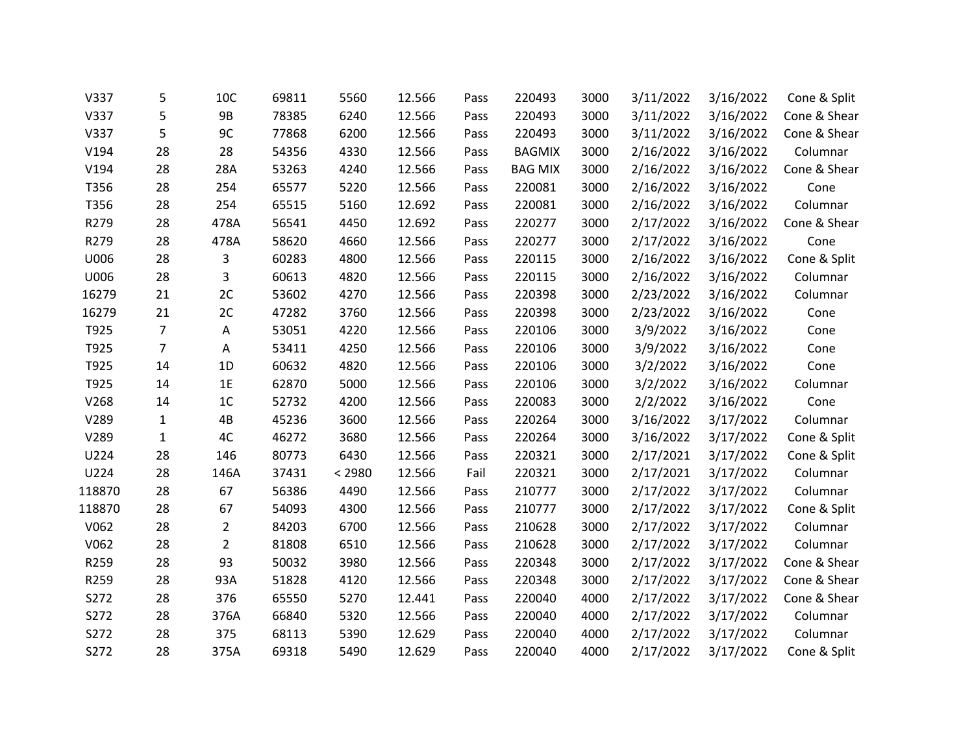| V337   | 5              | 10C            | 69811 | 5560   | 12.566 | Pass | 220493         | 3000 | 3/11/2022 | 3/16/2022 | Cone & Split |
|--------|----------------|----------------|-------|--------|--------|------|----------------|------|-----------|-----------|--------------|
| V337   | 5              | <b>9B</b>      | 78385 | 6240   | 12.566 | Pass | 220493         | 3000 | 3/11/2022 | 3/16/2022 | Cone & Shear |
| V337   | 5              | 9C             | 77868 | 6200   | 12.566 | Pass | 220493         | 3000 | 3/11/2022 | 3/16/2022 | Cone & Shear |
| V194   | 28             | 28             | 54356 | 4330   | 12.566 | Pass | <b>BAGMIX</b>  | 3000 | 2/16/2022 | 3/16/2022 | Columnar     |
| V194   | 28             | 28A            | 53263 | 4240   | 12.566 | Pass | <b>BAG MIX</b> | 3000 | 2/16/2022 | 3/16/2022 | Cone & Shear |
| T356   | 28             | 254            | 65577 | 5220   | 12.566 | Pass | 220081         | 3000 | 2/16/2022 | 3/16/2022 | Cone         |
| T356   | 28             | 254            | 65515 | 5160   | 12.692 | Pass | 220081         | 3000 | 2/16/2022 | 3/16/2022 | Columnar     |
| R279   | 28             | 478A           | 56541 | 4450   | 12.692 | Pass | 220277         | 3000 | 2/17/2022 | 3/16/2022 | Cone & Shear |
| R279   | 28             | 478A           | 58620 | 4660   | 12.566 | Pass | 220277         | 3000 | 2/17/2022 | 3/16/2022 | Cone         |
| U006   | 28             | 3              | 60283 | 4800   | 12.566 | Pass | 220115         | 3000 | 2/16/2022 | 3/16/2022 | Cone & Split |
| U006   | 28             | 3              | 60613 | 4820   | 12.566 | Pass | 220115         | 3000 | 2/16/2022 | 3/16/2022 | Columnar     |
| 16279  | 21             | 2C             | 53602 | 4270   | 12.566 | Pass | 220398         | 3000 | 2/23/2022 | 3/16/2022 | Columnar     |
| 16279  | 21             | 2C             | 47282 | 3760   | 12.566 | Pass | 220398         | 3000 | 2/23/2022 | 3/16/2022 | Cone         |
| T925   | $\overline{7}$ | Α              | 53051 | 4220   | 12.566 | Pass | 220106         | 3000 | 3/9/2022  | 3/16/2022 | Cone         |
| T925   | $\overline{7}$ | Α              | 53411 | 4250   | 12.566 | Pass | 220106         | 3000 | 3/9/2022  | 3/16/2022 | Cone         |
| T925   | 14             | 1D             | 60632 | 4820   | 12.566 | Pass | 220106         | 3000 | 3/2/2022  | 3/16/2022 | Cone         |
| T925   | 14             | 1E             | 62870 | 5000   | 12.566 | Pass | 220106         | 3000 | 3/2/2022  | 3/16/2022 | Columnar     |
| V268   | 14             | 1 <sup>C</sup> | 52732 | 4200   | 12.566 | Pass | 220083         | 3000 | 2/2/2022  | 3/16/2022 | Cone         |
| V289   | $\mathbf{1}$   | 4B             | 45236 | 3600   | 12.566 | Pass | 220264         | 3000 | 3/16/2022 | 3/17/2022 | Columnar     |
| V289   | $\mathbf{1}$   | 4C             | 46272 | 3680   | 12.566 | Pass | 220264         | 3000 | 3/16/2022 | 3/17/2022 | Cone & Split |
| U224   | 28             | 146            | 80773 | 6430   | 12.566 | Pass | 220321         | 3000 | 2/17/2021 | 3/17/2022 | Cone & Split |
| U224   | 28             | 146A           | 37431 | < 2980 | 12.566 | Fail | 220321         | 3000 | 2/17/2021 | 3/17/2022 | Columnar     |
| 118870 | 28             | 67             | 56386 | 4490   | 12.566 | Pass | 210777         | 3000 | 2/17/2022 | 3/17/2022 | Columnar     |
| 118870 | 28             | 67             | 54093 | 4300   | 12.566 | Pass | 210777         | 3000 | 2/17/2022 | 3/17/2022 | Cone & Split |
| V062   | 28             | $\overline{2}$ | 84203 | 6700   | 12.566 | Pass | 210628         | 3000 | 2/17/2022 | 3/17/2022 | Columnar     |
| V062   | 28             | $\overline{2}$ | 81808 | 6510   | 12.566 | Pass | 210628         | 3000 | 2/17/2022 | 3/17/2022 | Columnar     |
| R259   | 28             | 93             | 50032 | 3980   | 12.566 | Pass | 220348         | 3000 | 2/17/2022 | 3/17/2022 | Cone & Shear |
| R259   | 28             | 93A            | 51828 | 4120   | 12.566 | Pass | 220348         | 3000 | 2/17/2022 | 3/17/2022 | Cone & Shear |
| S272   | 28             | 376            | 65550 | 5270   | 12.441 | Pass | 220040         | 4000 | 2/17/2022 | 3/17/2022 | Cone & Shear |
| S272   | 28             | 376A           | 66840 | 5320   | 12.566 | Pass | 220040         | 4000 | 2/17/2022 | 3/17/2022 | Columnar     |
| S272   | 28             | 375            | 68113 | 5390   | 12.629 | Pass | 220040         | 4000 | 2/17/2022 | 3/17/2022 | Columnar     |
| S272   | 28             | 375A           | 69318 | 5490   | 12.629 | Pass | 220040         | 4000 | 2/17/2022 | 3/17/2022 | Cone & Split |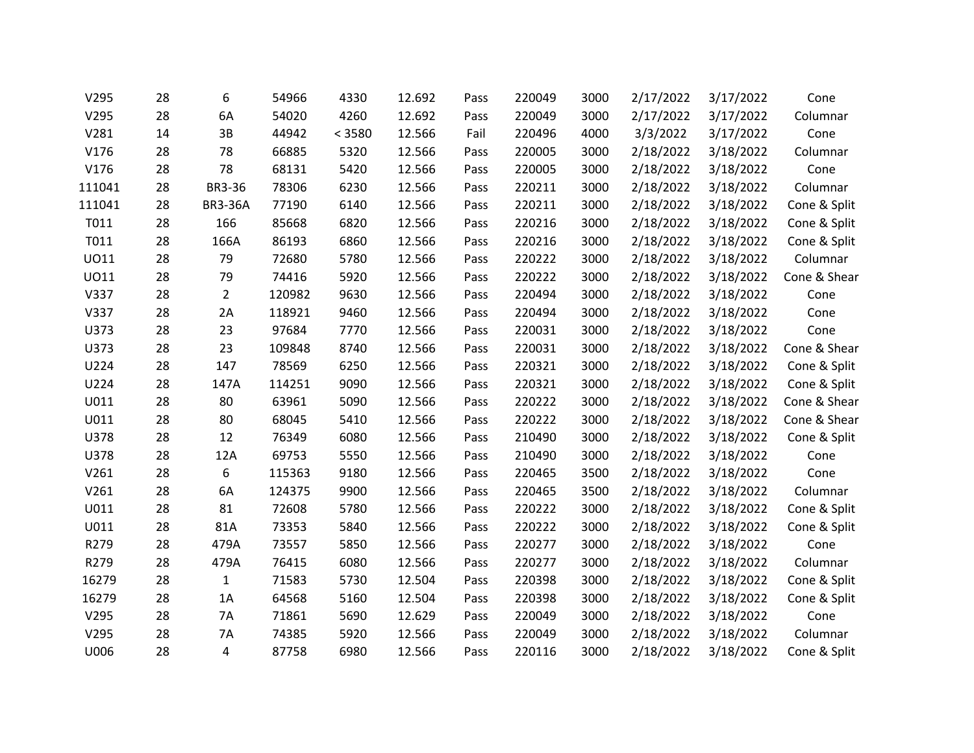| V295   | 28 | 6              | 54966  | 4330   | 12.692 | Pass | 220049 | 3000 | 2/17/2022 | 3/17/2022 | Cone         |
|--------|----|----------------|--------|--------|--------|------|--------|------|-----------|-----------|--------------|
| V295   | 28 | 6A             | 54020  | 4260   | 12.692 | Pass | 220049 | 3000 | 2/17/2022 | 3/17/2022 | Columnar     |
| V281   | 14 | 3B             | 44942  | < 3580 | 12.566 | Fail | 220496 | 4000 | 3/3/2022  | 3/17/2022 | Cone         |
| V176   | 28 | 78             | 66885  | 5320   | 12.566 | Pass | 220005 | 3000 | 2/18/2022 | 3/18/2022 | Columnar     |
| V176   | 28 | 78             | 68131  | 5420   | 12.566 | Pass | 220005 | 3000 | 2/18/2022 | 3/18/2022 | Cone         |
| 111041 | 28 | <b>BR3-36</b>  | 78306  | 6230   | 12.566 | Pass | 220211 | 3000 | 2/18/2022 | 3/18/2022 | Columnar     |
| 111041 | 28 | <b>BR3-36A</b> | 77190  | 6140   | 12.566 | Pass | 220211 | 3000 | 2/18/2022 | 3/18/2022 | Cone & Split |
| T011   | 28 | 166            | 85668  | 6820   | 12.566 | Pass | 220216 | 3000 | 2/18/2022 | 3/18/2022 | Cone & Split |
| T011   | 28 | 166A           | 86193  | 6860   | 12.566 | Pass | 220216 | 3000 | 2/18/2022 | 3/18/2022 | Cone & Split |
| U011   | 28 | 79             | 72680  | 5780   | 12.566 | Pass | 220222 | 3000 | 2/18/2022 | 3/18/2022 | Columnar     |
| U011   | 28 | 79             | 74416  | 5920   | 12.566 | Pass | 220222 | 3000 | 2/18/2022 | 3/18/2022 | Cone & Shear |
| V337   | 28 | $\overline{2}$ | 120982 | 9630   | 12.566 | Pass | 220494 | 3000 | 2/18/2022 | 3/18/2022 | Cone         |
| V337   | 28 | 2A             | 118921 | 9460   | 12.566 | Pass | 220494 | 3000 | 2/18/2022 | 3/18/2022 | Cone         |
| U373   | 28 | 23             | 97684  | 7770   | 12.566 | Pass | 220031 | 3000 | 2/18/2022 | 3/18/2022 | Cone         |
| U373   | 28 | 23             | 109848 | 8740   | 12.566 | Pass | 220031 | 3000 | 2/18/2022 | 3/18/2022 | Cone & Shear |
| U224   | 28 | 147            | 78569  | 6250   | 12.566 | Pass | 220321 | 3000 | 2/18/2022 | 3/18/2022 | Cone & Split |
| U224   | 28 | 147A           | 114251 | 9090   | 12.566 | Pass | 220321 | 3000 | 2/18/2022 | 3/18/2022 | Cone & Split |
| U011   | 28 | 80             | 63961  | 5090   | 12.566 | Pass | 220222 | 3000 | 2/18/2022 | 3/18/2022 | Cone & Shear |
| U011   | 28 | 80             | 68045  | 5410   | 12.566 | Pass | 220222 | 3000 | 2/18/2022 | 3/18/2022 | Cone & Shear |
| U378   | 28 | 12             | 76349  | 6080   | 12.566 | Pass | 210490 | 3000 | 2/18/2022 | 3/18/2022 | Cone & Split |
| U378   | 28 | 12A            | 69753  | 5550   | 12.566 | Pass | 210490 | 3000 | 2/18/2022 | 3/18/2022 | Cone         |
| V261   | 28 | 6              | 115363 | 9180   | 12.566 | Pass | 220465 | 3500 | 2/18/2022 | 3/18/2022 | Cone         |
| V261   | 28 | 6A             | 124375 | 9900   | 12.566 | Pass | 220465 | 3500 | 2/18/2022 | 3/18/2022 | Columnar     |
| U011   | 28 | 81             | 72608  | 5780   | 12.566 | Pass | 220222 | 3000 | 2/18/2022 | 3/18/2022 | Cone & Split |
| U011   | 28 | 81A            | 73353  | 5840   | 12.566 | Pass | 220222 | 3000 | 2/18/2022 | 3/18/2022 | Cone & Split |
| R279   | 28 | 479A           | 73557  | 5850   | 12.566 | Pass | 220277 | 3000 | 2/18/2022 | 3/18/2022 | Cone         |
| R279   | 28 | 479A           | 76415  | 6080   | 12.566 | Pass | 220277 | 3000 | 2/18/2022 | 3/18/2022 | Columnar     |
| 16279  | 28 | $\mathbf{1}$   | 71583  | 5730   | 12.504 | Pass | 220398 | 3000 | 2/18/2022 | 3/18/2022 | Cone & Split |
| 16279  | 28 | 1A             | 64568  | 5160   | 12.504 | Pass | 220398 | 3000 | 2/18/2022 | 3/18/2022 | Cone & Split |
| V295   | 28 | 7A             | 71861  | 5690   | 12.629 | Pass | 220049 | 3000 | 2/18/2022 | 3/18/2022 | Cone         |
| V295   | 28 | 7A             | 74385  | 5920   | 12.566 | Pass | 220049 | 3000 | 2/18/2022 | 3/18/2022 | Columnar     |
| U006   | 28 | 4              | 87758  | 6980   | 12.566 | Pass | 220116 | 3000 | 2/18/2022 | 3/18/2022 | Cone & Split |